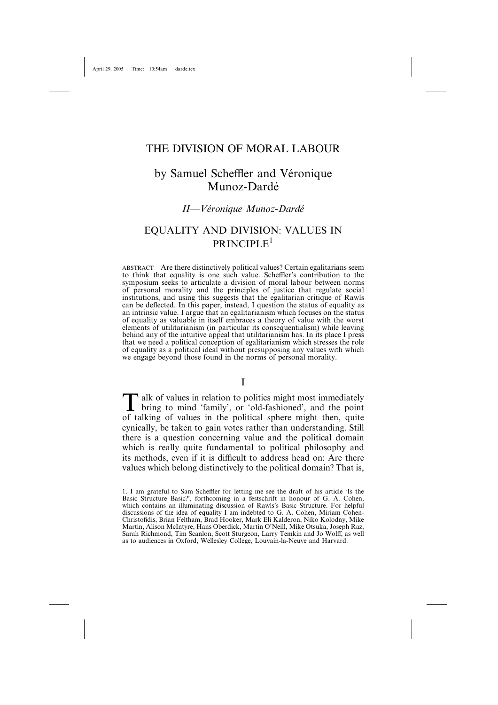## the division of moral labour

# by Samuel Scheffler and Véronique Munoz-Dardé

## *II—V´eronique Munoz-Dard´e*

## EQUALITY AND DIVISION: VALUES IN PRINCIPLE<sup>1</sup>

abstract Are there distinctively political values? Certain egalitarians seem to think that equality is one such value. Scheffler's contribution to the symposium seeks to articulate a division of moral labour between norms of personal morality and the principles of justice that regulate social institutions, and using this suggests that the egalitarian critique of Rawls can be deflected. In this paper, instead, I question the status of equality as an intrinsic value. I argue that an egalitarianism which focuses on the status of equality as valuable in itself embraces a theory of value with the worst elements of utilitarianism (in particular its consequentialism) while leaving behind any of the intuitive appeal that utilitarianism has. In its place I press that we need a political conception of egalitarianism which stresses the role of equality as a political ideal without presupposing any values with which we engage beyond those found in the norms of personal morality.

#### I

Talk of values in relation to politics might most immediately<br>bring to mind 'family', or 'old-fashioned', and the point of talking of values in the political sphere might then, quite cynically, be taken to gain votes rather than understanding. Still there is a question concerning value and the political domain which is really quite fundamental to political philosophy and its methods, even if it is difficult to address head on: Are there values which belong distinctively to the political domain? That is,

<sup>1.</sup> I am grateful to Sam Scheffler for letting me see the draft of his article 'Is the Basic Structure Basic?', forthcoming in a festschrift in honour of G. A. Cohen, which contains an illuminating discussion of Rawls's Basic Structure. For helpful discussions of the idea of equality I am indebted to G. A. Cohen, Miriam Cohen-Christofidis, Brian Feltham, Brad Hooker, Mark Eli Kalderon, Niko Kolodny, Mike Martin, Alison McIntyre, Hans Oberdick, Martin O'Neill, Mike Otsuka, Joseph Raz, Sarah Richmond, Tim Scanlon, Scott Sturgeon, Larry Temkin and Jo Wolff, as well as to audiences in Oxford, Wellesley College, Louvain-la-Neuve and Harvard.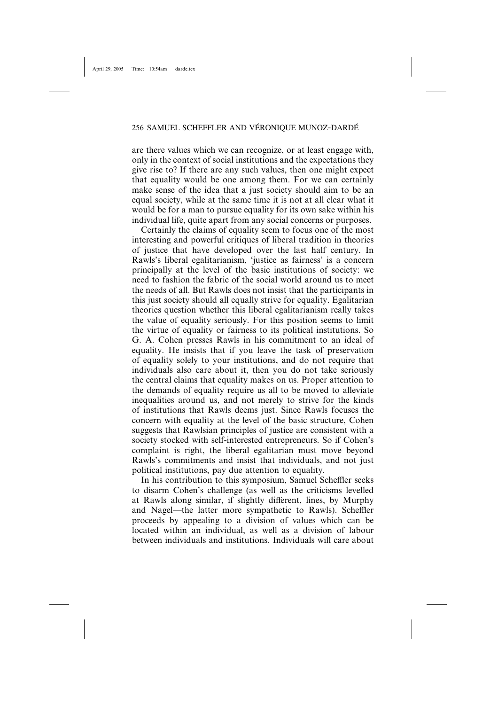are there values which we can recognize, or at least engage with, only in the context of social institutions and the expectations they give rise to? If there are any such values, then one might expect that equality would be one among them. For we can certainly make sense of the idea that a just society should aim to be an equal society, while at the same time it is not at all clear what it would be for a man to pursue equality for its own sake within his individual life, quite apart from any social concerns or purposes.

Certainly the claims of equality seem to focus one of the most interesting and powerful critiques of liberal tradition in theories of justice that have developed over the last half century. In Rawls's liberal egalitarianism, 'justice as fairness' is a concern principally at the level of the basic institutions of society: we need to fashion the fabric of the social world around us to meet the needs of all. But Rawls does not insist that the participants in this just society should all equally strive for equality. Egalitarian theories question whether this liberal egalitarianism really takes the value of equality seriously. For this position seems to limit the virtue of equality or fairness to its political institutions. So G. A. Cohen presses Rawls in his commitment to an ideal of equality. He insists that if you leave the task of preservation of equality solely to your institutions, and do not require that individuals also care about it, then you do not take seriously the central claims that equality makes on us. Proper attention to the demands of equality require us all to be moved to alleviate inequalities around us, and not merely to strive for the kinds of institutions that Rawls deems just. Since Rawls focuses the concern with equality at the level of the basic structure, Cohen suggests that Rawlsian principles of justice are consistent with a society stocked with self-interested entrepreneurs. So if Cohen's complaint is right, the liberal egalitarian must move beyond Rawls's commitments and insist that individuals, and not just political institutions, pay due attention to equality.

In his contribution to this symposium, Samuel Scheffler seeks to disarm Cohen's challenge (as well as the criticisms levelled at Rawls along similar, if slightly different, lines, by Murphy and Nagel—the latter more sympathetic to Rawls). Scheffler proceeds by appealing to a division of values which can be located within an individual, as well as a division of labour between individuals and institutions. Individuals will care about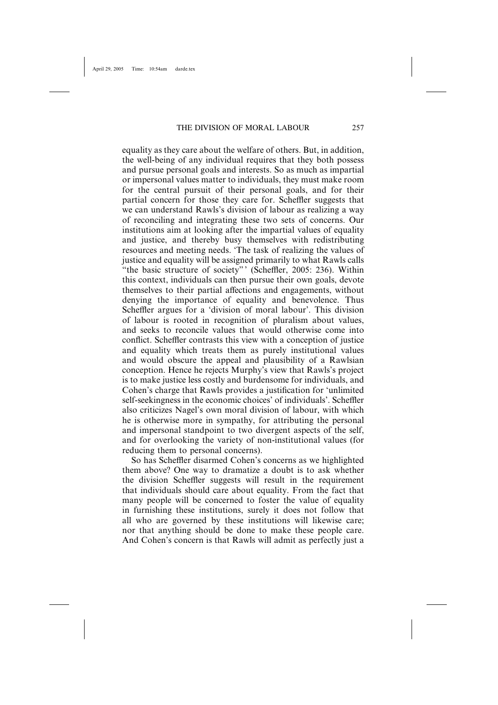equality as they care about the welfare of others. But, in addition, the well-being of any individual requires that they both possess and pursue personal goals and interests. So as much as impartial or impersonal values matter to individuals, they must make room for the central pursuit of their personal goals, and for their partial concern for those they care for. Scheffler suggests that we can understand Rawls's division of labour as realizing a way of reconciling and integrating these two sets of concerns. Our institutions aim at looking after the impartial values of equality and justice, and thereby busy themselves with redistributing resources and meeting needs. 'The task of realizing the values of justice and equality will be assigned primarily to what Rawls calls "the basic structure of society" ' (Scheffler, 2005: 236). Within this context, individuals can then pursue their own goals, devote themselves to their partial affections and engagements, without denying the importance of equality and benevolence. Thus Scheffler argues for a 'division of moral labour'. This division of labour is rooted in recognition of pluralism about values, and seeks to reconcile values that would otherwise come into conflict. Scheffler contrasts this view with a conception of justice and equality which treats them as purely institutional values and would obscure the appeal and plausibility of a Rawlsian conception. Hence he rejects Murphy's view that Rawls's project is to make justice less costly and burdensome for individuals, and Cohen's charge that Rawls provides a justification for 'unlimited self-seekingness in the economic choices' of individuals'. Scheffler also criticizes Nagel's own moral division of labour, with which he is otherwise more in sympathy, for attributing the personal and impersonal standpoint to two divergent aspects of the self, and for overlooking the variety of non-institutional values (for reducing them to personal concerns).

So has Scheffler disarmed Cohen's concerns as we highlighted them above? One way to dramatize a doubt is to ask whether the division Scheffler suggests will result in the requirement that individuals should care about equality. From the fact that many people will be concerned to foster the value of equality in furnishing these institutions, surely it does not follow that all who are governed by these institutions will likewise care; nor that anything should be done to make these people care. And Cohen's concern is that Rawls will admit as perfectly just a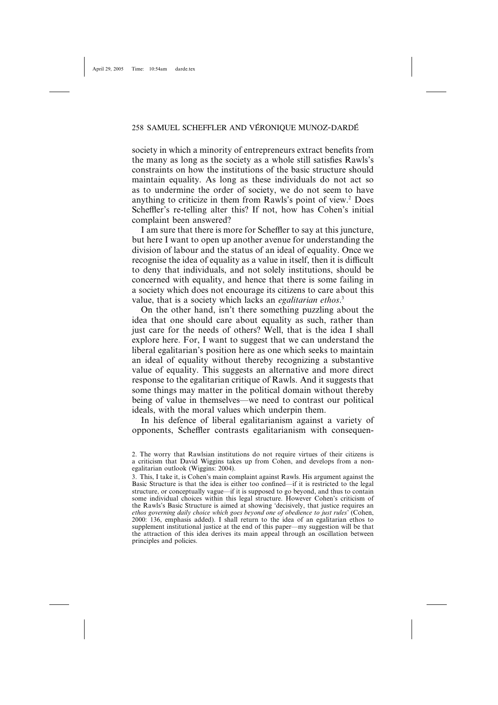society in which a minority of entrepreneurs extract benefits from the many as long as the society as a whole still satisfies Rawls's constraints on how the institutions of the basic structure should maintain equality. As long as these individuals do not act so as to undermine the order of society, we do not seem to have anything to criticize in them from Rawls's point of view.2 Does Scheffler's re-telling alter this? If not, how has Cohen's initial complaint been answered?

I am sure that there is more for Scheffler to say at this juncture, but here I want to open up another avenue for understanding the division of labour and the status of an ideal of equality. Once we recognise the idea of equality as a value in itself, then it is difficult to deny that individuals, and not solely institutions, should be concerned with equality, and hence that there is some failing in a society which does not encourage its citizens to care about this value, that is a society which lacks an *egalitarian ethos*. 3

On the other hand, isn't there something puzzling about the idea that one should care about equality as such, rather than just care for the needs of others? Well, that is the idea I shall explore here. For, I want to suggest that we can understand the liberal egalitarian's position here as one which seeks to maintain an ideal of equality without thereby recognizing a substantive value of equality. This suggests an alternative and more direct response to the egalitarian critique of Rawls. And it suggests that some things may matter in the political domain without thereby being of value in themselves—we need to contrast our political ideals, with the moral values which underpin them.

In his defence of liberal egalitarianism against a variety of opponents, Scheffler contrasts egalitarianism with consequen-

<sup>2.</sup> The worry that Rawlsian institutions do not require virtues of their citizens is a criticism that David Wiggins takes up from Cohen, and develops from a nonegalitarian outlook (Wiggins: 2004).

<sup>3.</sup> This, I take it, is Cohen's main complaint against Rawls. His argument against the Basic Structure is that the idea is either too confined—if it is restricted to the legal structure, or conceptually vague—if it is supposed to go beyond, and thus to contain some individual choices within this legal structure. However Cohen's criticism of the Rawls's Basic Structure is aimed at showing 'decisively, that justice requires an *ethos governing daily choice which goes beyond one of obedience to just rules*' (Cohen, 2000: 136, emphasis added). I shall return to the idea of an egalitarian ethos to supplement institutional justice at the end of this paper—my suggestion will be that the attraction of this idea derives its main appeal through an oscillation between principles and policies.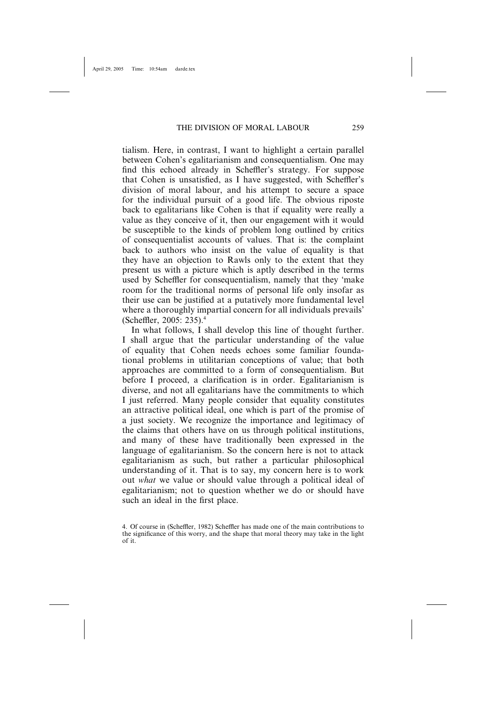tialism. Here, in contrast, I want to highlight a certain parallel between Cohen's egalitarianism and consequentialism. One may find this echoed already in Scheffler's strategy. For suppose that Cohen is unsatisfied, as I have suggested, with Scheffler's division of moral labour, and his attempt to secure a space for the individual pursuit of a good life. The obvious riposte back to egalitarians like Cohen is that if equality were really a value as they conceive of it, then our engagement with it would be susceptible to the kinds of problem long outlined by critics of consequentialist accounts of values. That is: the complaint back to authors who insist on the value of equality is that they have an objection to Rawls only to the extent that they present us with a picture which is aptly described in the terms used by Scheffler for consequentialism, namely that they 'make room for the traditional norms of personal life only insofar as their use can be justified at a putatively more fundamental level where a thoroughly impartial concern for all individuals prevails' (Scheffler, 2005: 235).4

In what follows, I shall develop this line of thought further. I shall argue that the particular understanding of the value of equality that Cohen needs echoes some familiar foundational problems in utilitarian conceptions of value; that both approaches are committed to a form of consequentialism. But before I proceed, a clarification is in order. Egalitarianism is diverse, and not all egalitarians have the commitments to which I just referred. Many people consider that equality constitutes an attractive political ideal, one which is part of the promise of a just society. We recognize the importance and legitimacy of the claims that others have on us through political institutions, and many of these have traditionally been expressed in the language of egalitarianism. So the concern here is not to attack egalitarianism as such, but rather a particular philosophical understanding of it. That is to say, my concern here is to work out *what* we value or should value through a political ideal of egalitarianism; not to question whether we do or should have such an ideal in the first place.

<sup>4.</sup> Of course in (Scheffler, 1982) Scheffler has made one of the main contributions to the significance of this worry, and the shape that moral theory may take in the light of it.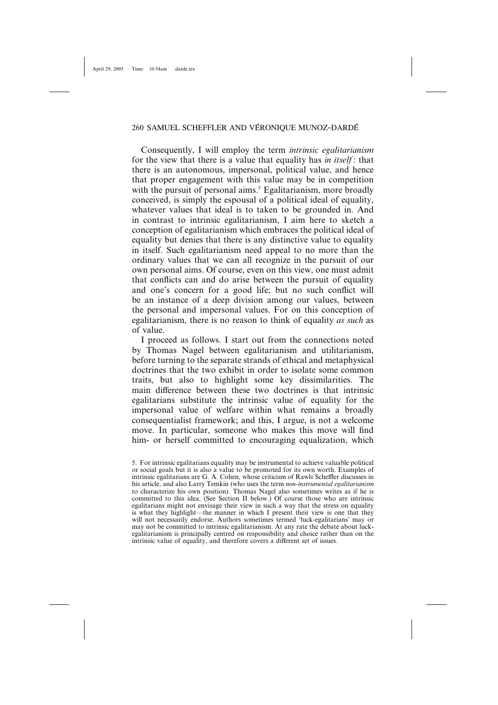Consequently, I will employ the term *intrinsic egalitarianism* for the view that there is a value that equality has *in itself* : that there is an autonomous, impersonal, political value, and hence that proper engagement with this value may be in competition with the pursuit of personal aims.<sup>5</sup> Egalitarianism, more broadly conceived, is simply the espousal of a political ideal of equality, whatever values that ideal is to taken to be grounded in. And in contrast to intrinsic egalitarianism, I aim here to sketch a conception of egalitarianism which embraces the political ideal of equality but denies that there is any distinctive value to equality in itself. Such egalitarianism need appeal to no more than the ordinary values that we can all recognize in the pursuit of our own personal aims. Of course, even on this view, one must admit that conflicts can and do arise between the pursuit of equality and one's concern for a good life; but no such conflict will be an instance of a deep division among our values, between the personal and impersonal values. For on this conception of egalitarianism, there is no reason to think of equality *as such* as of value.

I proceed as follows. I start out from the connections noted by Thomas Nagel between egalitarianism and utilitarianism, before turning to the separate strands of ethical and metaphysical doctrines that the two exhibit in order to isolate some common traits, but also to highlight some key dissimilarities. The main difference between these two doctrines is that intrinsic egalitarians substitute the intrinsic value of equality for the impersonal value of welfare within what remains a broadly consequentialist framework; and this, I argue, is not a welcome move. In particular, someone who makes this move will find him- or herself committed to encouraging equalization, which

<sup>5.</sup> For intrinsic egalitarians equality may be instrumental to achieve valuable political or social goals but it is also a value to be promoted for its own worth. Examples of intrinsic egalitarians are G. A. Cohen, whose criticism of Rawls Scheffler discusses in his article, and also Larry Temkin (who uses the term *non-instrumental egalitarianism* to characterize his own position). Thomas Nagel also sometimes writes as if he is committed to this idea. (See Section II below.) Of course those who are intrinsic egalitarians might not envisage their view in such a way that the stress on equality is what they highlight—the manner in which I present their view is one that they will not necessarily endorse. Authors sometimes termed 'luck-egalitarians' may or may not be committed to intrinsic egalitarianism. At any rate the debate about luckegalitarianism is principally centred on responsibility and choice rather than on the intrinsic value of equality, and therefore covers a different set of issues.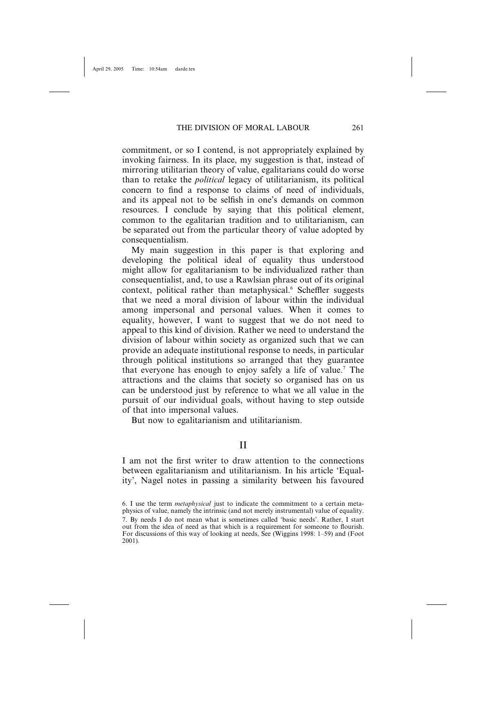commitment, or so I contend, is not appropriately explained by invoking fairness. In its place, my suggestion is that, instead of mirroring utilitarian theory of value, egalitarians could do worse than to retake the *political* legacy of utilitarianism, its political concern to find a response to claims of need of individuals, and its appeal not to be selfish in one's demands on common resources. I conclude by saying that this political element, common to the egalitarian tradition and to utilitarianism, can be separated out from the particular theory of value adopted by consequentialism.

My main suggestion in this paper is that exploring and developing the political ideal of equality thus understood might allow for egalitarianism to be individualized rather than consequentialist, and, to use a Rawlsian phrase out of its original context, political rather than metaphysical.<sup>6</sup> Scheffler suggests that we need a moral division of labour within the individual among impersonal and personal values. When it comes to equality, however, I want to suggest that we do not need to appeal to this kind of division. Rather we need to understand the division of labour within society as organized such that we can provide an adequate institutional response to needs, in particular through political institutions so arranged that they guarantee that everyone has enough to enjoy safely a life of value.7 The attractions and the claims that society so organised has on us can be understood just by reference to what we all value in the pursuit of our individual goals, without having to step outside of that into impersonal values.

But now to egalitarianism and utilitarianism.

## II

I am not the first writer to draw attention to the connections between egalitarianism and utilitarianism. In his article 'Equality', Nagel notes in passing a similarity between his favoured

<sup>6.</sup> I use the term *metaphysical* just to indicate the commitment to a certain metaphysics of value, namely the intrinsic (and not merely instrumental) value of equality.

<sup>7.</sup> By needs I do not mean what is sometimes called 'basic needs'. Rather, I start out from the idea of need as that which is a requirement for someone to flourish. For discussions of this way of looking at needs, See (Wiggins 1998: 1–59) and (Foot 2001).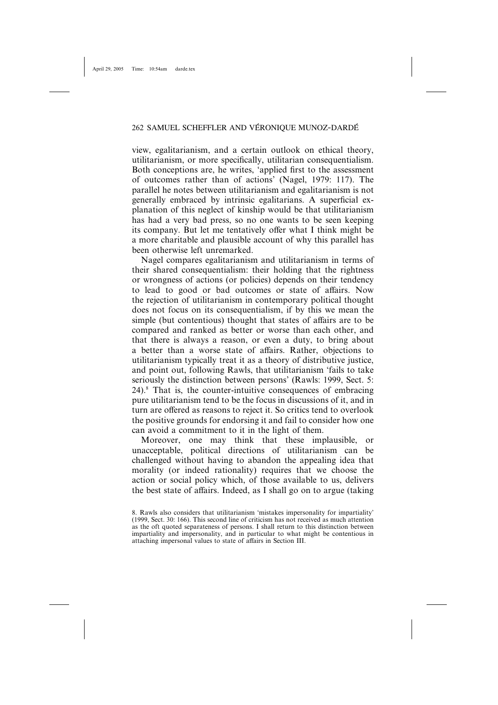view, egalitarianism, and a certain outlook on ethical theory, utilitarianism, or more specifically, utilitarian consequentialism. Both conceptions are, he writes, 'applied first to the assessment of outcomes rather than of actions' (Nagel, 1979: 117). The parallel he notes between utilitarianism and egalitarianism is not generally embraced by intrinsic egalitarians. A superficial explanation of this neglect of kinship would be that utilitarianism has had a very bad press, so no one wants to be seen keeping its company. But let me tentatively offer what I think might be a more charitable and plausible account of why this parallel has been otherwise left unremarked.

Nagel compares egalitarianism and utilitarianism in terms of their shared consequentialism: their holding that the rightness or wrongness of actions (or policies) depends on their tendency to lead to good or bad outcomes or state of affairs. Now the rejection of utilitarianism in contemporary political thought does not focus on its consequentialism, if by this we mean the simple (but contentious) thought that states of affairs are to be compared and ranked as better or worse than each other, and that there is always a reason, or even a duty, to bring about a better than a worse state of affairs. Rather, objections to utilitarianism typically treat it as a theory of distributive justice, and point out, following Rawls, that utilitarianism 'fails to take seriously the distinction between persons' (Rawls: 1999, Sect. 5:  $24$ ).<sup>8</sup> That is, the counter-intuitive consequences of embracing pure utilitarianism tend to be the focus in discussions of it, and in turn are offered as reasons to reject it. So critics tend to overlook the positive grounds for endorsing it and fail to consider how one can avoid a commitment to it in the light of them.

Moreover, one may think that these implausible, or unacceptable, political directions of utilitarianism can be challenged without having to abandon the appealing idea that morality (or indeed rationality) requires that we choose the action or social policy which, of those available to us, delivers the best state of affairs. Indeed, as I shall go on to argue (taking

<sup>8.</sup> Rawls also considers that utilitarianism 'mistakes impersonality for impartiality' (1999, Sect. 30: 166). This second line of criticism has not received as much attention as the oft quoted separateness of persons. I shall return to this distinction between impartiality and impersonality, and in particular to what might be contentious in attaching impersonal values to state of affairs in Section III.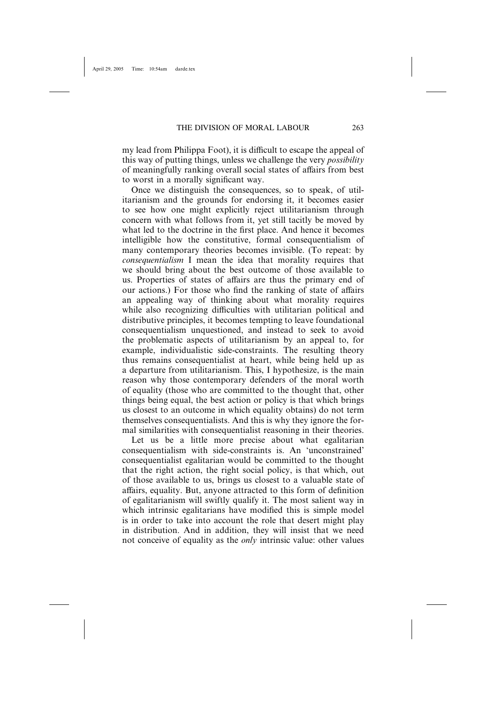my lead from Philippa Foot), it is difficult to escape the appeal of this way of putting things, unless we challenge the very *possibility* of meaningfully ranking overall social states of affairs from best to worst in a morally significant way.

Once we distinguish the consequences, so to speak, of utilitarianism and the grounds for endorsing it, it becomes easier to see how one might explicitly reject utilitarianism through concern with what follows from it, yet still tacitly be moved by what led to the doctrine in the first place. And hence it becomes intelligible how the constitutive, formal consequentialism of many contemporary theories becomes invisible. (To repeat: by *consequentialism* I mean the idea that morality requires that we should bring about the best outcome of those available to us. Properties of states of affairs are thus the primary end of our actions.) For those who find the ranking of state of affairs an appealing way of thinking about what morality requires while also recognizing difficulties with utilitarian political and distributive principles, it becomes tempting to leave foundational consequentialism unquestioned, and instead to seek to avoid the problematic aspects of utilitarianism by an appeal to, for example, individualistic side-constraints. The resulting theory thus remains consequentialist at heart, while being held up as a departure from utilitarianism. This, I hypothesize, is the main reason why those contemporary defenders of the moral worth of equality (those who are committed to the thought that, other things being equal, the best action or policy is that which brings us closest to an outcome in which equality obtains) do not term themselves consequentialists. And this is why they ignore the formal similarities with consequentialist reasoning in their theories.

Let us be a little more precise about what egalitarian consequentialism with side-constraints is. An 'unconstrained' consequentialist egalitarian would be committed to the thought that the right action, the right social policy, is that which, out of those available to us, brings us closest to a valuable state of affairs, equality. But, anyone attracted to this form of definition of egalitarianism will swiftly qualify it. The most salient way in which intrinsic egalitarians have modified this is simple model is in order to take into account the role that desert might play in distribution. And in addition, they will insist that we need not conceive of equality as the *only* intrinsic value: other values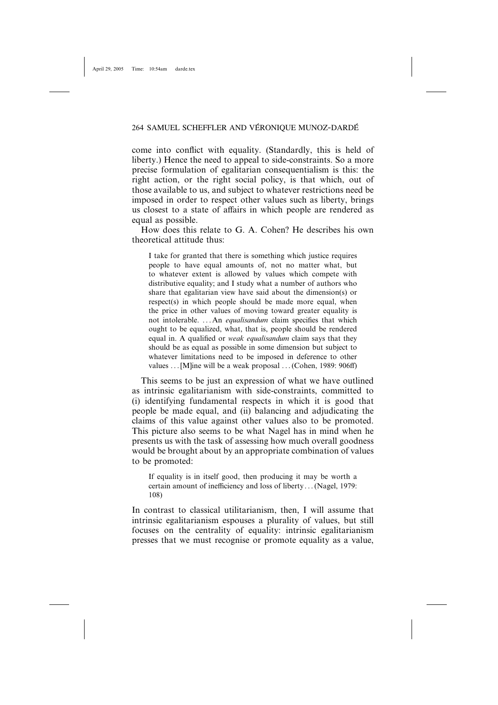come into conflict with equality. (Standardly, this is held of liberty.) Hence the need to appeal to side-constraints. So a more precise formulation of egalitarian consequentialism is this: the right action, or the right social policy, is that which, out of those available to us, and subject to whatever restrictions need be imposed in order to respect other values such as liberty, brings us closest to a state of affairs in which people are rendered as equal as possible.

How does this relate to G. A. Cohen? He describes his own theoretical attitude thus:

I take for granted that there is something which justice requires people to have equal amounts of, not no matter what, but to whatever extent is allowed by values which compete with distributive equality; and I study what a number of authors who share that egalitarian view have said about the dimension(s) or respect(s) in which people should be made more equal, when the price in other values of moving toward greater equality is not intolerable. . . . An *equalisandum* claim specifies that which ought to be equalized, what, that is, people should be rendered equal in. A qualified or *weak equalisandum* claim says that they should be as equal as possible in some dimension but subject to whatever limitations need to be imposed in deference to other values ... [M]ine will be a weak proposal ... (Cohen, 1989: 906ff)

This seems to be just an expression of what we have outlined as intrinsic egalitarianism with side-constraints, committed to (i) identifying fundamental respects in which it is good that people be made equal, and (ii) balancing and adjudicating the claims of this value against other values also to be promoted. This picture also seems to be what Nagel has in mind when he presents us with the task of assessing how much overall goodness would be brought about by an appropriate combination of values to be promoted:

If equality is in itself good, then producing it may be worth a certain amount of inefficiency and loss of liberty . . . (Nagel, 1979: 108)

In contrast to classical utilitarianism, then, I will assume that intrinsic egalitarianism espouses a plurality of values, but still focuses on the centrality of equality: intrinsic egalitarianism presses that we must recognise or promote equality as a value,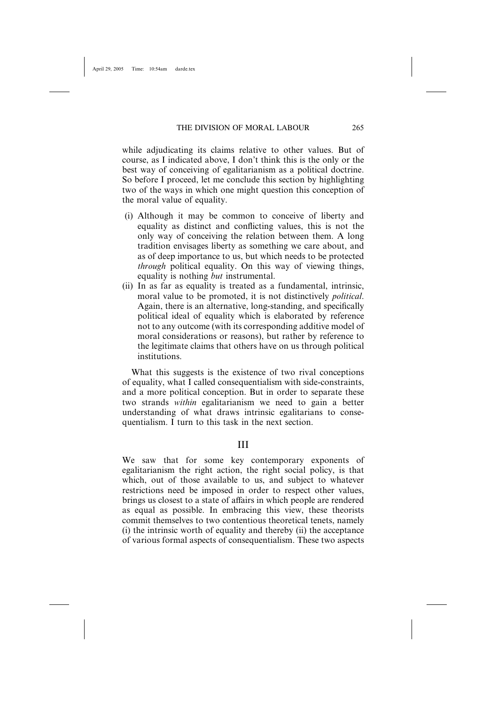while adjudicating its claims relative to other values. But of course, as I indicated above, I don't think this is the only or the best way of conceiving of egalitarianism as a political doctrine. So before I proceed, let me conclude this section by highlighting two of the ways in which one might question this conception of the moral value of equality.

- (i) Although it may be common to conceive of liberty and equality as distinct and conflicting values, this is not the only way of conceiving the relation between them. A long tradition envisages liberty as something we care about, and as of deep importance to us, but which needs to be protected *through* political equality. On this way of viewing things, equality is nothing *but* instrumental.
- (ii) In as far as equality is treated as a fundamental, intrinsic, moral value to be promoted, it is not distinctively *political*. Again, there is an alternative, long-standing, and specifically political ideal of equality which is elaborated by reference not to any outcome (with its corresponding additive model of moral considerations or reasons), but rather by reference to the legitimate claims that others have on us through political institutions.

What this suggests is the existence of two rival conceptions of equality, what I called consequentialism with side-constraints, and a more political conception. But in order to separate these two strands *within* egalitarianism we need to gain a better understanding of what draws intrinsic egalitarians to consequentialism. I turn to this task in the next section.

#### III

We saw that for some key contemporary exponents of egalitarianism the right action, the right social policy, is that which, out of those available to us, and subject to whatever restrictions need be imposed in order to respect other values, brings us closest to a state of affairs in which people are rendered as equal as possible. In embracing this view, these theorists commit themselves to two contentious theoretical tenets, namely (i) the intrinsic worth of equality and thereby (ii) the acceptance of various formal aspects of consequentialism. These two aspects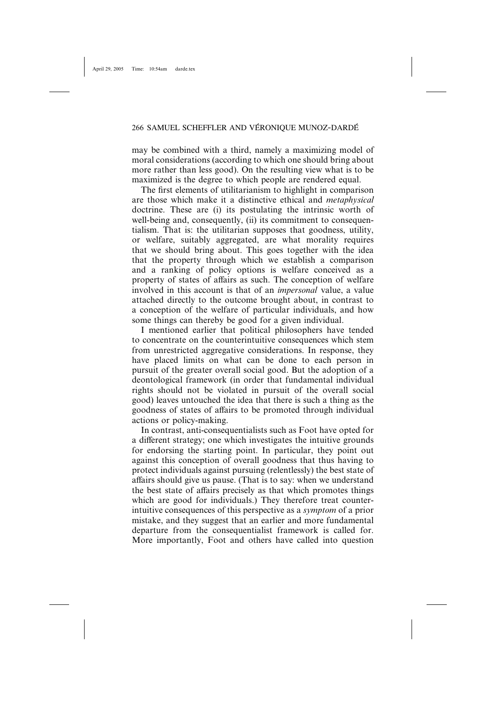may be combined with a third, namely a maximizing model of moral considerations (according to which one should bring about more rather than less good). On the resulting view what is to be maximized is the degree to which people are rendered equal.

The first elements of utilitarianism to highlight in comparison are those which make it a distinctive ethical and *metaphysical* doctrine. These are (i) its postulating the intrinsic worth of well-being and, consequently, (ii) its commitment to consequentialism. That is: the utilitarian supposes that goodness, utility, or welfare, suitably aggregated, are what morality requires that we should bring about. This goes together with the idea that the property through which we establish a comparison and a ranking of policy options is welfare conceived as a property of states of affairs as such. The conception of welfare involved in this account is that of an *impersonal* value, a value attached directly to the outcome brought about, in contrast to a conception of the welfare of particular individuals, and how some things can thereby be good for a given individual.

I mentioned earlier that political philosophers have tended to concentrate on the counterintuitive consequences which stem from unrestricted aggregative considerations. In response, they have placed limits on what can be done to each person in pursuit of the greater overall social good. But the adoption of a deontological framework (in order that fundamental individual rights should not be violated in pursuit of the overall social good) leaves untouched the idea that there is such a thing as the goodness of states of affairs to be promoted through individual actions or policy-making.

In contrast, anti-consequentialists such as Foot have opted for a different strategy; one which investigates the intuitive grounds for endorsing the starting point. In particular, they point out against this conception of overall goodness that thus having to protect individuals against pursuing (relentlessly) the best state of affairs should give us pause. (That is to say: when we understand the best state of affairs precisely as that which promotes things which are good for individuals.) They therefore treat counterintuitive consequences of this perspective as a *symptom* of a prior mistake, and they suggest that an earlier and more fundamental departure from the consequentialist framework is called for. More importantly, Foot and others have called into question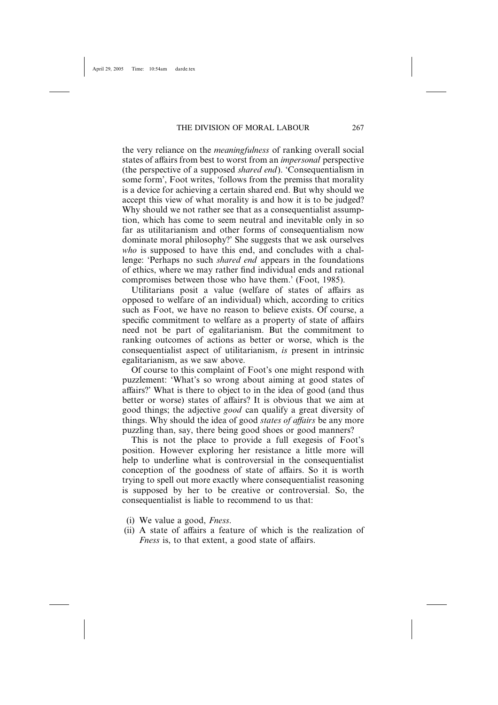the very reliance on the *meaningfulness* of ranking overall social states of affairs from best to worst from an *impersonal* perspective (the perspective of a supposed *shared end*). 'Consequentialism in some form', Foot writes, 'follows from the premiss that morality is a device for achieving a certain shared end. But why should we accept this view of what morality is and how it is to be judged? Why should we not rather see that as a consequentialist assumption, which has come to seem neutral and inevitable only in so far as utilitarianism and other forms of consequentialism now dominate moral philosophy?' She suggests that we ask ourselves *who* is supposed to have this end, and concludes with a challenge: 'Perhaps no such *shared end* appears in the foundations of ethics, where we may rather find individual ends and rational compromises between those who have them.' (Foot, 1985).

Utilitarians posit a value (welfare of states of affairs as opposed to welfare of an individual) which, according to critics such as Foot, we have no reason to believe exists. Of course, a specific commitment to welfare as a property of state of affairs need not be part of egalitarianism. But the commitment to ranking outcomes of actions as better or worse, which is the consequentialist aspect of utilitarianism, *is* present in intrinsic egalitarianism, as we saw above.

Of course to this complaint of Foot's one might respond with puzzlement: 'What's so wrong about aiming at good states of affairs?' What is there to object to in the idea of good (and thus better or worse) states of affairs? It is obvious that we aim at good things; the adjective *good* can qualify a great diversity of things. Why should the idea of good *states of affairs* be any more puzzling than, say, there being good shoes or good manners?

This is not the place to provide a full exegesis of Foot's position. However exploring her resistance a little more will help to underline what is controversial in the consequentialist conception of the goodness of state of affairs. So it is worth trying to spell out more exactly where consequentialist reasoning is supposed by her to be creative or controversial. So, the consequentialist is liable to recommend to us that:

- (i) We value a good, *Fness*.
- (ii) A state of affairs a feature of which is the realization of *Fness* is, to that extent, a good state of affairs.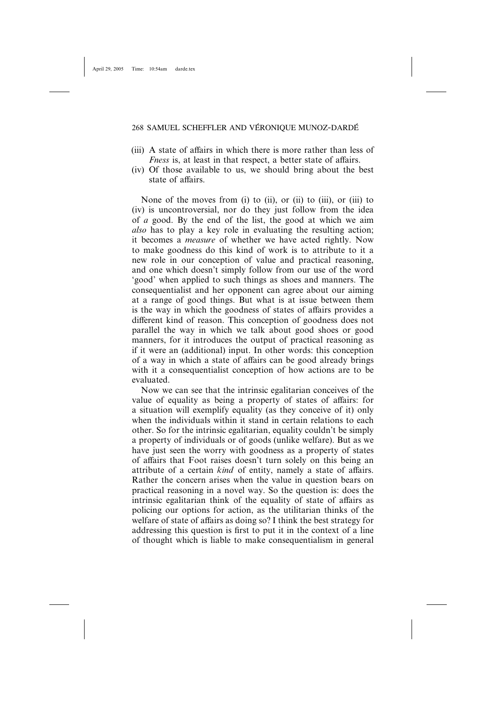- (iii) A state of affairs in which there is more rather than less of *Fness* is, at least in that respect, a better state of affairs.
- (iv) Of those available to us, we should bring about the best state of affairs.

None of the moves from (i) to (ii), or (ii) to (iii), or (iii) to (iv) is uncontroversial, nor do they just follow from the idea of *a* good. By the end of the list, the good at which we aim *also* has to play a key role in evaluating the resulting action; it becomes a *measure* of whether we have acted rightly. Now to make goodness do this kind of work is to attribute to it a new role in our conception of value and practical reasoning, and one which doesn't simply follow from our use of the word 'good' when applied to such things as shoes and manners. The consequentialist and her opponent can agree about our aiming at a range of good things. But what is at issue between them is the way in which the goodness of states of affairs provides a different kind of reason. This conception of goodness does not parallel the way in which we talk about good shoes or good manners, for it introduces the output of practical reasoning as if it were an (additional) input. In other words: this conception of a way in which a state of affairs can be good already brings with it a consequentialist conception of how actions are to be evaluated.

Now we can see that the intrinsic egalitarian conceives of the value of equality as being a property of states of affairs: for a situation will exemplify equality (as they conceive of it) only when the individuals within it stand in certain relations to each other. So for the intrinsic egalitarian, equality couldn't be simply a property of individuals or of goods (unlike welfare). But as we have just seen the worry with goodness as a property of states of affairs that Foot raises doesn't turn solely on this being an attribute of a certain *kind* of entity, namely a state of affairs. Rather the concern arises when the value in question bears on practical reasoning in a novel way. So the question is: does the intrinsic egalitarian think of the equality of state of affairs as policing our options for action, as the utilitarian thinks of the welfare of state of affairs as doing so? I think the best strategy for addressing this question is first to put it in the context of a line of thought which is liable to make consequentialism in general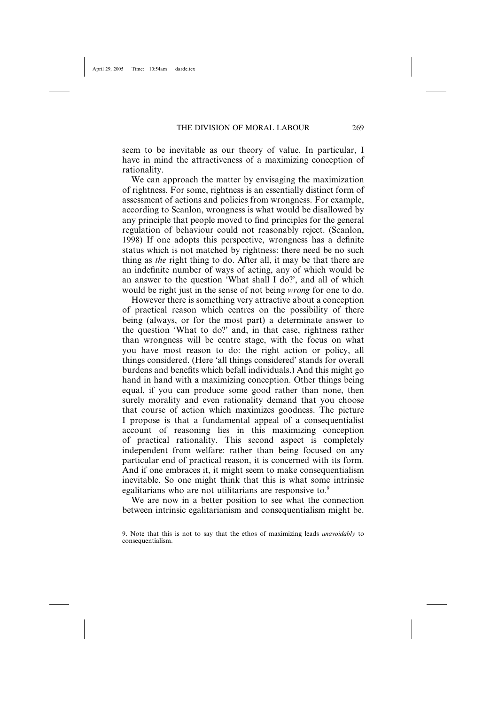seem to be inevitable as our theory of value. In particular, I have in mind the attractiveness of a maximizing conception of rationality.

We can approach the matter by envisaging the maximization of rightness. For some, rightness is an essentially distinct form of assessment of actions and policies from wrongness. For example, according to Scanlon, wrongness is what would be disallowed by any principle that people moved to find principles for the general regulation of behaviour could not reasonably reject. (Scanlon, 1998) If one adopts this perspective, wrongness has a definite status which is not matched by rightness: there need be no such thing as *the* right thing to do. After all, it may be that there are an indefinite number of ways of acting, any of which would be an answer to the question 'What shall I do?', and all of which would be right just in the sense of not being *wrong* for one to do.

However there is something very attractive about a conception of practical reason which centres on the possibility of there being (always, or for the most part) a determinate answer to the question 'What to do?' and, in that case, rightness rather than wrongness will be centre stage, with the focus on what you have most reason to do: the right action or policy, all things considered. (Here 'all things considered' stands for overall burdens and benefits which befall individuals.) And this might go hand in hand with a maximizing conception. Other things being equal, if you can produce some good rather than none, then surely morality and even rationality demand that you choose that course of action which maximizes goodness. The picture I propose is that a fundamental appeal of a consequentialist account of reasoning lies in this maximizing conception of practical rationality. This second aspect is completely independent from welfare: rather than being focused on any particular end of practical reason, it is concerned with its form. And if one embraces it, it might seem to make consequentialism inevitable. So one might think that this is what some intrinsic egalitarians who are not utilitarians are responsive to.<sup>9</sup>

We are now in a better position to see what the connection between intrinsic egalitarianism and consequentialism might be.

<sup>9.</sup> Note that this is not to say that the ethos of maximizing leads *unavoidably* to consequentialism.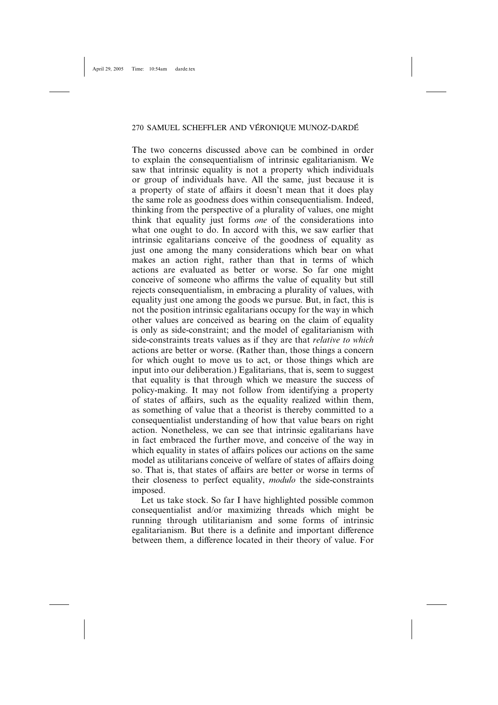The two concerns discussed above can be combined in order to explain the consequentialism of intrinsic egalitarianism. We saw that intrinsic equality is not a property which individuals or group of individuals have. All the same, just because it is a property of state of affairs it doesn't mean that it does play the same role as goodness does within consequentialism. Indeed, thinking from the perspective of a plurality of values, one might think that equality just forms *one* of the considerations into what one ought to do. In accord with this, we saw earlier that intrinsic egalitarians conceive of the goodness of equality as just one among the many considerations which bear on what makes an action right, rather than that in terms of which actions are evaluated as better or worse. So far one might conceive of someone who affirms the value of equality but still rejects consequentialism, in embracing a plurality of values, with equality just one among the goods we pursue. But, in fact, this is not the position intrinsic egalitarians occupy for the way in which other values are conceived as bearing on the claim of equality is only as side-constraint; and the model of egalitarianism with side-constraints treats values as if they are that *relative to which* actions are better or worse. (Rather than, those things a concern for which ought to move us to act, or those things which are input into our deliberation.) Egalitarians, that is, seem to suggest that equality is that through which we measure the success of policy-making. It may not follow from identifying a property of states of affairs, such as the equality realized within them, as something of value that a theorist is thereby committed to a consequentialist understanding of how that value bears on right action. Nonetheless, we can see that intrinsic egalitarians have in fact embraced the further move, and conceive of the way in which equality in states of affairs polices our actions on the same model as utilitarians conceive of welfare of states of affairs doing so. That is, that states of affairs are better or worse in terms of their closeness to perfect equality, *modulo* the side-constraints imposed.

Let us take stock. So far I have highlighted possible common consequentialist and/or maximizing threads which might be running through utilitarianism and some forms of intrinsic egalitarianism. But there is a definite and important difference between them, a difference located in their theory of value. For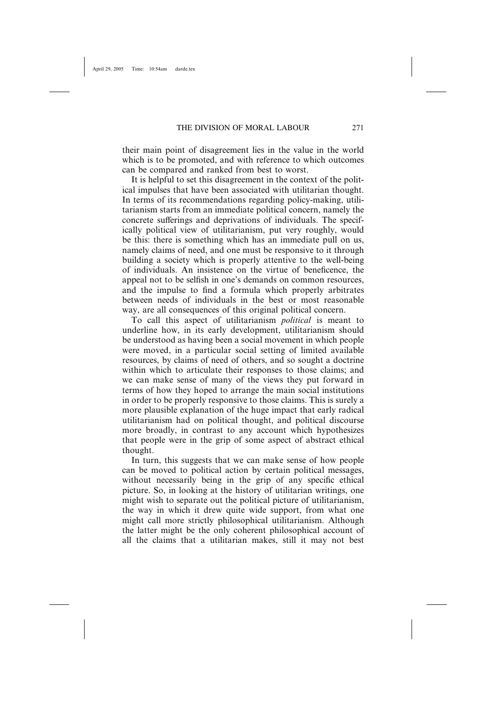their main point of disagreement lies in the value in the world which is to be promoted, and with reference to which outcomes can be compared and ranked from best to worst.

It is helpful to set this disagreement in the context of the political impulses that have been associated with utilitarian thought. In terms of its recommendations regarding policy-making, utilitarianism starts from an immediate political concern, namely the concrete sufferings and deprivations of individuals. The specifically political view of utilitarianism, put very roughly, would be this: there is something which has an immediate pull on us, namely claims of need, and one must be responsive to it through building a society which is properly attentive to the well-being of individuals. An insistence on the virtue of beneficence, the appeal not to be selfish in one's demands on common resources, and the impulse to find a formula which properly arbitrates between needs of individuals in the best or most reasonable way, are all consequences of this original political concern.

To call this aspect of utilitarianism *political* is meant to underline how, in its early development, utilitarianism should be understood as having been a social movement in which people were moved, in a particular social setting of limited available resources, by claims of need of others, and so sought a doctrine within which to articulate their responses to those claims; and we can make sense of many of the views they put forward in terms of how they hoped to arrange the main social institutions in order to be properly responsive to those claims. This is surely a more plausible explanation of the huge impact that early radical utilitarianism had on political thought, and political discourse more broadly, in contrast to any account which hypothesizes that people were in the grip of some aspect of abstract ethical thought.

In turn, this suggests that we can make sense of how people can be moved to political action by certain political messages, without necessarily being in the grip of any specific ethical picture. So, in looking at the history of utilitarian writings, one might wish to separate out the political picture of utilitarianism, the way in which it drew quite wide support, from what one might call more strictly philosophical utilitarianism. Although the latter might be the only coherent philosophical account of all the claims that a utilitarian makes, still it may not best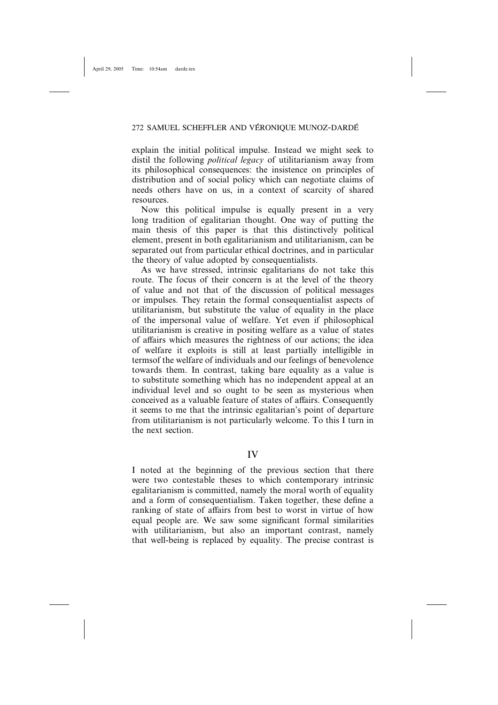explain the initial political impulse. Instead we might seek to distil the following *political legacy* of utilitarianism away from its philosophical consequences: the insistence on principles of distribution and of social policy which can negotiate claims of needs others have on us, in a context of scarcity of shared resources.

Now this political impulse is equally present in a very long tradition of egalitarian thought. One way of putting the main thesis of this paper is that this distinctively political element, present in both egalitarianism and utilitarianism, can be separated out from particular ethical doctrines, and in particular the theory of value adopted by consequentialists.

As we have stressed, intrinsic egalitarians do not take this route. The focus of their concern is at the level of the theory of value and not that of the discussion of political messages or impulses. They retain the formal consequentialist aspects of utilitarianism, but substitute the value of equality in the place of the impersonal value of welfare. Yet even if philosophical utilitarianism is creative in positing welfare as a value of states of affairs which measures the rightness of our actions; the idea of welfare it exploits is still at least partially intelligible in termsof the welfare of individuals and our feelings of benevolence towards them. In contrast, taking bare equality as a value is to substitute something which has no independent appeal at an individual level and so ought to be seen as mysterious when conceived as a valuable feature of states of affairs. Consequently it seems to me that the intrinsic egalitarian's point of departure from utilitarianism is not particularly welcome. To this I turn in the next section.

#### IV

I noted at the beginning of the previous section that there were two contestable theses to which contemporary intrinsic egalitarianism is committed, namely the moral worth of equality and a form of consequentialism. Taken together, these define a ranking of state of affairs from best to worst in virtue of how equal people are. We saw some significant formal similarities with utilitarianism, but also an important contrast, namely that well-being is replaced by equality. The precise contrast is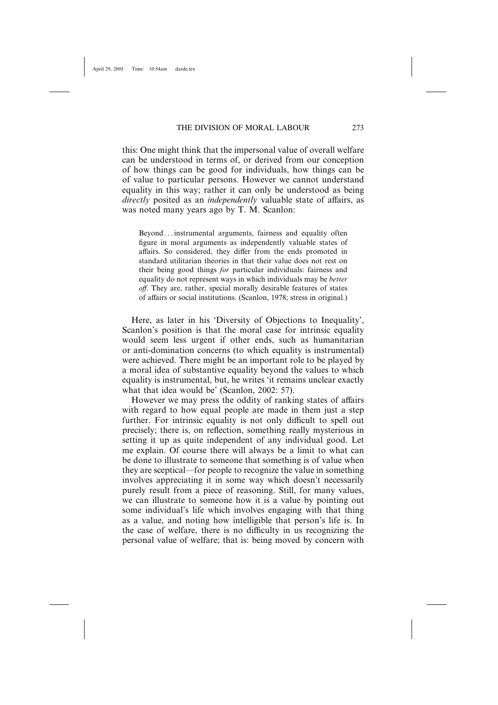this: One might think that the impersonal value of overall welfare can be understood in terms of, or derived from our conception of how things can be good for individuals, how things can be of value to particular persons. However we cannot understand equality in this way; rather it can only be understood as being *directly* posited as an *independently* valuable state of affairs, as was noted many years ago by T. M. Scanlon:

Beyond. . . instrumental arguments, fairness and equality often figure in moral arguments as independently valuable states of affairs. So considered, they differ from the ends promoted in standard utilitarian theories in that their value does not rest on their being good things *for* particular individuals: fairness and equality do not represent ways in which individuals may be *better off*. They are, rather, special morally desirable features of states of affairs or social institutions. (Scanlon, 1978; stress in original.)

Here, as later in his 'Diversity of Objections to Inequality', Scanlon's position is that the moral case for intrinsic equality would seem less urgent if other ends, such as humanitarian or anti-domination concerns (to which equality is instrumental) were achieved. There might be an important role to be played by a moral idea of substantive equality beyond the values to which equality is instrumental, but, he writes 'it remains unclear exactly what that idea would be' (Scanlon, 2002: 57).

However we may press the oddity of ranking states of affairs with regard to how equal people are made in them just a step further. For intrinsic equality is not only difficult to spell out precisely; there is, on reflection, something really mysterious in setting it up as quite independent of any individual good. Let me explain. Of course there will always be a limit to what can be done to illustrate to someone that something is of value when they are sceptical—for people to recognize the value in something involves appreciating it in some way which doesn't necessarily purely result from a piece of reasoning. Still, for many values, we can illustrate to someone how it is a value by pointing out some individual's life which involves engaging with that thing as a value, and noting how intelligible that person's life is. In the case of welfare, there is no difficulty in us recognizing the personal value of welfare; that is: being moved by concern with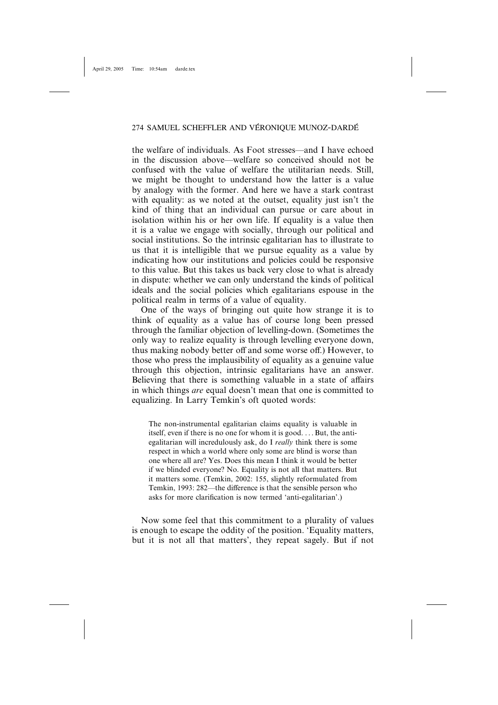the welfare of individuals. As Foot stresses—and I have echoed in the discussion above—welfare so conceived should not be confused with the value of welfare the utilitarian needs. Still, we might be thought to understand how the latter is a value by analogy with the former. And here we have a stark contrast with equality: as we noted at the outset, equality just isn't the kind of thing that an individual can pursue or care about in isolation within his or her own life. If equality is a value then it is a value we engage with socially, through our political and social institutions. So the intrinsic egalitarian has to illustrate to us that it is intelligible that we pursue equality as a value by indicating how our institutions and policies could be responsive to this value. But this takes us back very close to what is already in dispute: whether we can only understand the kinds of political ideals and the social policies which egalitarians espouse in the political realm in terms of a value of equality.

One of the ways of bringing out quite how strange it is to think of equality as a value has of course long been pressed through the familiar objection of levelling-down. (Sometimes the only way to realize equality is through levelling everyone down, thus making nobody better off and some worse off.) However, to those who press the implausibility of equality as a genuine value through this objection, intrinsic egalitarians have an answer. Believing that there is something valuable in a state of affairs in which things *are* equal doesn't mean that one is committed to equalizing. In Larry Temkin's oft quoted words:

The non-instrumental egalitarian claims equality is valuable in itself, even if there is no one for whom it is good. . . . But, the antiegalitarian will incredulously ask, do I *really* think there is some respect in which a world where only some are blind is worse than one where all are? Yes. Does this mean I think it would be better if we blinded everyone? No. Equality is not all that matters. But it matters some. (Temkin, 2002: 155, slightly reformulated from Temkin, 1993: 282—the difference is that the sensible person who asks for more clarification is now termed 'anti-egalitarian'.)

Now some feel that this commitment to a plurality of values is enough to escape the oddity of the position. 'Equality matters, but it is not all that matters', they repeat sagely. But if not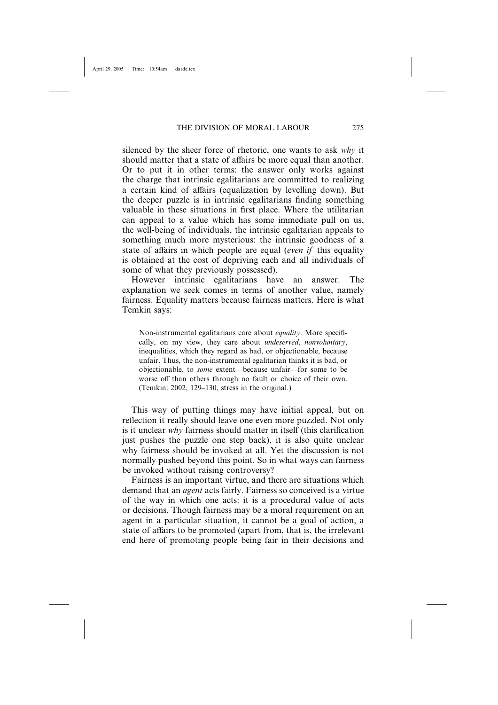silenced by the sheer force of rhetoric, one wants to ask *why* it should matter that a state of affairs be more equal than another. Or to put it in other terms: the answer only works against the charge that intrinsic egalitarians are committed to realizing a certain kind of affairs (equalization by levelling down). But the deeper puzzle is in intrinsic egalitarians finding something valuable in these situations in first place. Where the utilitarian can appeal to a value which has some immediate pull on us, the well-being of individuals, the intrinsic egalitarian appeals to something much more mysterious: the intrinsic goodness of a state of affairs in which people are equal (*even if* this equality is obtained at the cost of depriving each and all individuals of some of what they previously possessed).

However intrinsic egalitarians have an answer. The explanation we seek comes in terms of another value, namely fairness. Equality matters because fairness matters. Here is what Temkin says:

Non-instrumental egalitarians care about *equality*. More specifically, on my view, they care about *undeserved*, *nonvoluntary*, inequalities, which they regard as bad, or objectionable, because unfair. Thus, the non-instrumental egalitarian thinks it is bad, or objectionable, to *some* extent—because unfair—for some to be worse off than others through no fault or choice of their own. (Temkin: 2002, 129–130, stress in the original.)

This way of putting things may have initial appeal, but on reflection it really should leave one even more puzzled. Not only is it unclear *why* fairness should matter in itself (this clarification just pushes the puzzle one step back), it is also quite unclear why fairness should be invoked at all. Yet the discussion is not normally pushed beyond this point. So in what ways can fairness be invoked without raising controversy?

Fairness is an important virtue, and there are situations which demand that an *agent* acts fairly. Fairness so conceived is a virtue of the way in which one acts: it is a procedural value of acts or decisions. Though fairness may be a moral requirement on an agent in a particular situation, it cannot be a goal of action, a state of affairs to be promoted (apart from, that is, the irrelevant end here of promoting people being fair in their decisions and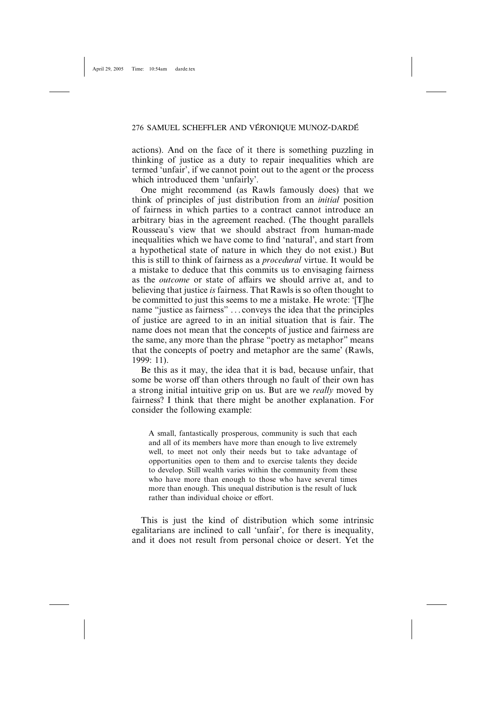actions). And on the face of it there is something puzzling in thinking of justice as a duty to repair inequalities which are termed 'unfair', if we cannot point out to the agent or the process which introduced them 'unfairly'.

One might recommend (as Rawls famously does) that we think of principles of just distribution from an *initial* position of fairness in which parties to a contract cannot introduce an arbitrary bias in the agreement reached. (The thought parallels Rousseau's view that we should abstract from human-made inequalities which we have come to find 'natural', and start from a hypothetical state of nature in which they do not exist.) But this is still to think of fairness as a *procedural* virtue. It would be a mistake to deduce that this commits us to envisaging fairness as the *outcome* or state of affairs we should arrive at, and to believing that justice *is* fairness. That Rawls is so often thought to be committed to just this seems to me a mistake. He wrote: '[T]he name "justice as fairness" . . . conveys the idea that the principles of justice are agreed to in an initial situation that is fair. The name does not mean that the concepts of justice and fairness are the same, any more than the phrase "poetry as metaphor" means that the concepts of poetry and metaphor are the same' (Rawls, 1999: 11).

Be this as it may, the idea that it is bad, because unfair, that some be worse off than others through no fault of their own has a strong initial intuitive grip on us. But are we *really* moved by fairness? I think that there might be another explanation. For consider the following example:

A small, fantastically prosperous, community is such that each and all of its members have more than enough to live extremely well, to meet not only their needs but to take advantage of opportunities open to them and to exercise talents they decide to develop. Still wealth varies within the community from these who have more than enough to those who have several times more than enough. This unequal distribution is the result of luck rather than individual choice or effort.

This is just the kind of distribution which some intrinsic egalitarians are inclined to call 'unfair', for there is inequality, and it does not result from personal choice or desert. Yet the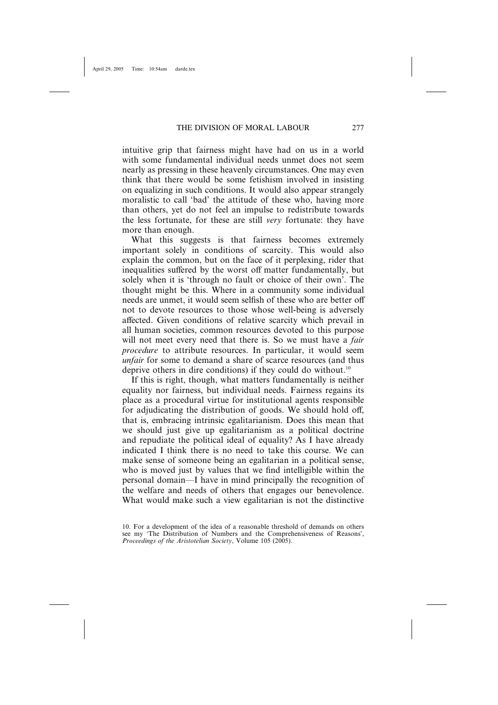intuitive grip that fairness might have had on us in a world with some fundamental individual needs unmet does not seem nearly as pressing in these heavenly circumstances. One may even think that there would be some fetishism involved in insisting on equalizing in such conditions. It would also appear strangely moralistic to call 'bad' the attitude of these who, having more than others, yet do not feel an impulse to redistribute towards the less fortunate, for these are still *very* fortunate: they have more than enough.

What this suggests is that fairness becomes extremely important solely in conditions of scarcity. This would also explain the common, but on the face of it perplexing, rider that inequalities suffered by the worst off matter fundamentally, but solely when it is 'through no fault or choice of their own'. The thought might be this. Where in a community some individual needs are unmet, it would seem selfish of these who are better off not to devote resources to those whose well-being is adversely affected. Given conditions of relative scarcity which prevail in all human societies, common resources devoted to this purpose will not meet every need that there is. So we must have a *fair procedure* to attribute resources. In particular, it would seem *unfair* for some to demand a share of scarce resources (and thus deprive others in dire conditions) if they could do without.<sup>10</sup>

If this is right, though, what matters fundamentally is neither equality nor fairness, but individual needs. Fairness regains its place as a procedural virtue for institutional agents responsible for adjudicating the distribution of goods. We should hold off, that is, embracing intrinsic egalitarianism. Does this mean that we should just give up egalitarianism as a political doctrine and repudiate the political ideal of equality? As I have already indicated I think there is no need to take this course. We can make sense of someone being an egalitarian in a political sense, who is moved just by values that we find intelligible within the personal domain—I have in mind principally the recognition of the welfare and needs of others that engages our benevolence. What would make such a view egalitarian is not the distinctive

<sup>10.</sup> For a development of the idea of a reasonable threshold of demands on others see my 'The Distribution of Numbers and the Comprehensiveness of Reasons', *Proceedings of the Aristotelian Society*, Volume 105 (2005).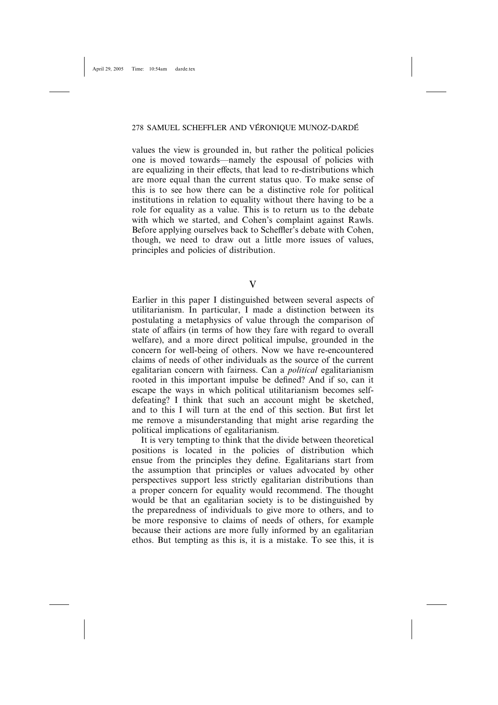values the view is grounded in, but rather the political policies one is moved towards—namely the espousal of policies with are equalizing in their effects, that lead to re-distributions which are more equal than the current status quo. To make sense of this is to see how there can be a distinctive role for political institutions in relation to equality without there having to be a role for equality as a value. This is to return us to the debate with which we started, and Cohen's complaint against Rawls. Before applying ourselves back to Scheffler's debate with Cohen. though, we need to draw out a little more issues of values, principles and policies of distribution.

V

Earlier in this paper I distinguished between several aspects of utilitarianism. In particular, I made a distinction between its postulating a metaphysics of value through the comparison of state of affairs (in terms of how they fare with regard to overall welfare), and a more direct political impulse, grounded in the concern for well-being of others. Now we have re-encountered claims of needs of other individuals as the source of the current egalitarian concern with fairness. Can a *political* egalitarianism rooted in this important impulse be defined? And if so, can it escape the ways in which political utilitarianism becomes selfdefeating? I think that such an account might be sketched, and to this I will turn at the end of this section. But first let me remove a misunderstanding that might arise regarding the political implications of egalitarianism.

It is very tempting to think that the divide between theoretical positions is located in the policies of distribution which ensue from the principles they define. Egalitarians start from the assumption that principles or values advocated by other perspectives support less strictly egalitarian distributions than a proper concern for equality would recommend. The thought would be that an egalitarian society is to be distinguished by the preparedness of individuals to give more to others, and to be more responsive to claims of needs of others, for example because their actions are more fully informed by an egalitarian ethos. But tempting as this is, it is a mistake. To see this, it is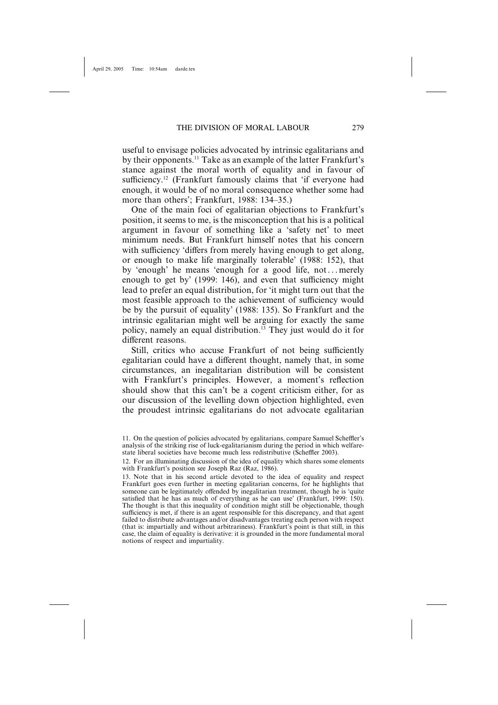useful to envisage policies advocated by intrinsic egalitarians and by their opponents.<sup>11</sup> Take as an example of the latter Frankfurt's stance against the moral worth of equality and in favour of sufficiency.<sup>12</sup> (Frankfurt famously claims that 'if everyone had enough, it would be of no moral consequence whether some had more than others'; Frankfurt, 1988: 134–35.)

One of the main foci of egalitarian objections to Frankfurt's position, it seems to me, is the misconception that his is a political argument in favour of something like a 'safety net' to meet minimum needs. But Frankfurt himself notes that his concern with sufficiency 'differs from merely having enough to get along, or enough to make life marginally tolerable' (1988: 152), that by 'enough' he means 'enough for a good life, not... merely enough to get by' (1999: 146), and even that sufficiency might lead to prefer an equal distribution, for 'it might turn out that the most feasible approach to the achievement of sufficiency would be by the pursuit of equality' (1988: 135). So Frankfurt and the intrinsic egalitarian might well be arguing for exactly the same policy, namely an equal distribution.13 They just would do it for different reasons.

Still, critics who accuse Frankfurt of not being sufficiently egalitarian could have a different thought, namely that, in some circumstances, an inegalitarian distribution will be consistent with Frankfurt's principles. However, a moment's reflection should show that this can't be a cogent criticism either, for as our discussion of the levelling down objection highlighted, even the proudest intrinsic egalitarians do not advocate egalitarian

<sup>11.</sup> On the question of policies advocated by egalitarians, compare Samuel Scheffler's analysis of the striking rise of luck-egalitarianism during the period in which welfarestate liberal societies have become much less redistributive (Scheffler 2003).

<sup>12.</sup> For an illuminating discussion of the idea of equality which shares some elements with Frankfurt's position see Joseph Raz (Raz, 1986).

<sup>13.</sup> Note that in his second article devoted to the idea of equality and respect Frankfurt goes even further in meeting egalitarian concerns, for he highlights that someone can be legitimately offended by inegalitarian treatment, though he is 'quite satisfied that he has as much of everything as he can use' (Frankfurt, 1999: 150). The thought is that this inequality of condition might still be objectionable, though sufficiency is met, if there is an agent responsible for this discrepancy, and that agent failed to distribute advantages and/or disadvantages treating each person with respect (that is: impartially and without arbitrariness). Frankfurt's point is that still, in this case, the claim of equality is derivative: it is grounded in the more fundamental moral notions of respect and impartiality.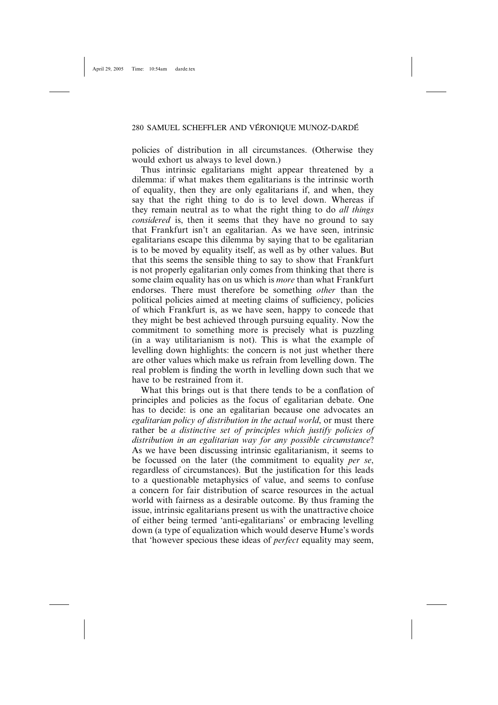policies of distribution in all circumstances. (Otherwise they would exhort us always to level down.)

Thus intrinsic egalitarians might appear threatened by a dilemma: if what makes them egalitarians is the intrinsic worth of equality, then they are only egalitarians if, and when, they say that the right thing to do is to level down. Whereas if they remain neutral as to what the right thing to do *all things considered* is, then it seems that they have no ground to say that Frankfurt isn't an egalitarian. As we have seen, intrinsic egalitarians escape this dilemma by saying that to be egalitarian is to be moved by equality itself, as well as by other values. But that this seems the sensible thing to say to show that Frankfurt is not properly egalitarian only comes from thinking that there is some claim equality has on us which is *more* than what Frankfurt endorses. There must therefore be something *other* than the political policies aimed at meeting claims of sufficiency, policies of which Frankfurt is, as we have seen, happy to concede that they might be best achieved through pursuing equality. Now the commitment to something more is precisely what is puzzling (in a way utilitarianism is not). This is what the example of levelling down highlights: the concern is not just whether there are other values which make us refrain from levelling down. The real problem is finding the worth in levelling down such that we have to be restrained from it.

What this brings out is that there tends to be a conflation of principles and policies as the focus of egalitarian debate. One has to decide: is one an egalitarian because one advocates an *egalitarian policy of distribution in the actual world*, or must there rather be *a distinctive set of principles which justify policies of distribution in an egalitarian way for any possible circumstance*? As we have been discussing intrinsic egalitarianism, it seems to be focussed on the later (the commitment to equality *per se*, regardless of circumstances). But the justification for this leads to a questionable metaphysics of value, and seems to confuse a concern for fair distribution of scarce resources in the actual world with fairness as a desirable outcome. By thus framing the issue, intrinsic egalitarians present us with the unattractive choice of either being termed 'anti-egalitarians' or embracing levelling down (a type of equalization which would deserve Hume's words that 'however specious these ideas of *perfect* equality may seem,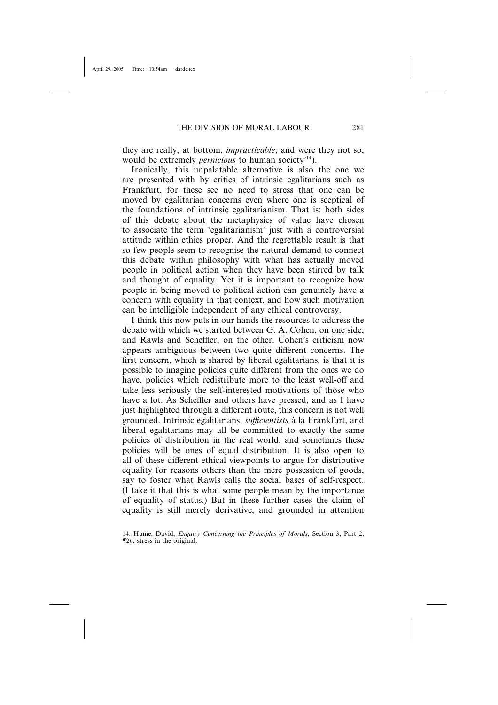they are really, at bottom, *impracticable*; and were they not so, would be extremely *pernicious* to human society'14).

Ironically, this unpalatable alternative is also the one we are presented with by critics of intrinsic egalitarians such as Frankfurt, for these see no need to stress that one can be moved by egalitarian concerns even where one is sceptical of the foundations of intrinsic egalitarianism. That is: both sides of this debate about the metaphysics of value have chosen to associate the term 'egalitarianism' just with a controversial attitude within ethics proper. And the regrettable result is that so few people seem to recognise the natural demand to connect this debate within philosophy with what has actually moved people in political action when they have been stirred by talk and thought of equality. Yet it is important to recognize how people in being moved to political action can genuinely have a concern with equality in that context, and how such motivation can be intelligible independent of any ethical controversy.

I think this now puts in our hands the resources to address the debate with which we started between G. A. Cohen, on one side, and Rawls and Scheffler, on the other. Cohen's criticism now appears ambiguous between two quite different concerns. The first concern, which is shared by liberal egalitarians, is that it is possible to imagine policies quite different from the ones we do have, policies which redistribute more to the least well-off and take less seriously the self-interested motivations of those who have a lot. As Scheffler and others have pressed, and as I have just highlighted through a different route, this concern is not well grounded. Intrinsic egalitarians, *sufficientists* a la Frankfurt, and ` liberal egalitarians may all be committed to exactly the same policies of distribution in the real world; and sometimes these policies will be ones of equal distribution. It is also open to all of these different ethical viewpoints to argue for distributive equality for reasons others than the mere possession of goods, say to foster what Rawls calls the social bases of self-respect. (I take it that this is what some people mean by the importance of equality of status.) But in these further cases the claim of equality is still merely derivative, and grounded in attention

<sup>14.</sup> Hume, David, *Enquiry Concerning the Principles of Morals*, Section 3, Part 2, ¶26, stress in the original.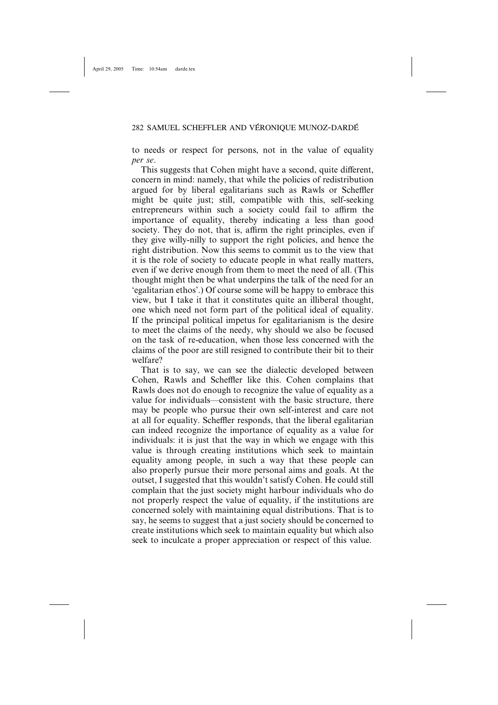to needs or respect for persons, not in the value of equality *per se*.

This suggests that Cohen might have a second, quite different, concern in mind: namely, that while the policies of redistribution argued for by liberal egalitarians such as Rawls or Scheffler might be quite just; still, compatible with this, self-seeking entrepreneurs within such a society could fail to affirm the importance of equality, thereby indicating a less than good society. They do not, that is, affirm the right principles, even if they give willy-nilly to support the right policies, and hence the right distribution. Now this seems to commit us to the view that it is the role of society to educate people in what really matters, even if we derive enough from them to meet the need of all. (This thought might then be what underpins the talk of the need for an 'egalitarian ethos'.) Of course some will be happy to embrace this view, but I take it that it constitutes quite an illiberal thought, one which need not form part of the political ideal of equality. If the principal political impetus for egalitarianism is the desire to meet the claims of the needy, why should we also be focused on the task of re-education, when those less concerned with the claims of the poor are still resigned to contribute their bit to their welfare?

That is to say, we can see the dialectic developed between Cohen, Rawls and Scheffler like this. Cohen complains that Rawls does not do enough to recognize the value of equality as a value for individuals—consistent with the basic structure, there may be people who pursue their own self-interest and care not at all for equality. Scheffler responds, that the liberal egalitarian can indeed recognize the importance of equality as a value for individuals: it is just that the way in which we engage with this value is through creating institutions which seek to maintain equality among people, in such a way that these people can also properly pursue their more personal aims and goals. At the outset, I suggested that this wouldn't satisfy Cohen. He could still complain that the just society might harbour individuals who do not properly respect the value of equality, if the institutions are concerned solely with maintaining equal distributions. That is to say, he seems to suggest that a just society should be concerned to create institutions which seek to maintain equality but which also seek to inculcate a proper appreciation or respect of this value.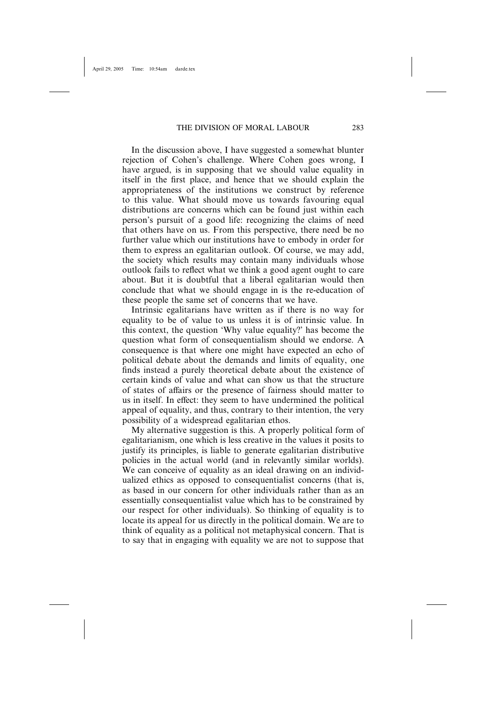In the discussion above, I have suggested a somewhat blunter rejection of Cohen's challenge. Where Cohen goes wrong, I have argued, is in supposing that we should value equality in itself in the first place, and hence that we should explain the appropriateness of the institutions we construct by reference to this value. What should move us towards favouring equal distributions are concerns which can be found just within each person's pursuit of a good life: recognizing the claims of need that others have on us. From this perspective, there need be no further value which our institutions have to embody in order for them to express an egalitarian outlook. Of course, we may add, the society which results may contain many individuals whose outlook fails to reflect what we think a good agent ought to care about. But it is doubtful that a liberal egalitarian would then conclude that what we should engage in is the re-education of these people the same set of concerns that we have.

Intrinsic egalitarians have written as if there is no way for equality to be of value to us unless it is of intrinsic value. In this context, the question 'Why value equality?' has become the question what form of consequentialism should we endorse. A consequence is that where one might have expected an echo of political debate about the demands and limits of equality, one finds instead a purely theoretical debate about the existence of certain kinds of value and what can show us that the structure of states of affairs or the presence of fairness should matter to us in itself. In effect: they seem to have undermined the political appeal of equality, and thus, contrary to their intention, the very possibility of a widespread egalitarian ethos.

My alternative suggestion is this. A properly political form of egalitarianism, one which is less creative in the values it posits to justify its principles, is liable to generate egalitarian distributive policies in the actual world (and in relevantly similar worlds). We can conceive of equality as an ideal drawing on an individualized ethics as opposed to consequentialist concerns (that is, as based in our concern for other individuals rather than as an essentially consequentialist value which has to be constrained by our respect for other individuals). So thinking of equality is to locate its appeal for us directly in the political domain. We are to think of equality as a political not metaphysical concern. That is to say that in engaging with equality we are not to suppose that